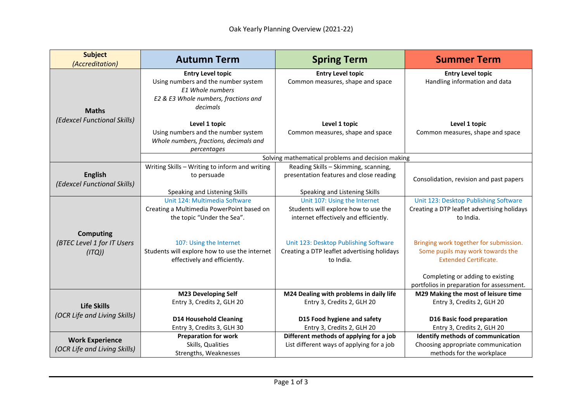| <b>Subject</b><br>(Accreditation)                       | <b>Autumn Term</b>                                                                                                                      | <b>Spring Term</b>                                                                                            | <b>Summer Term</b>                                                                                                                             |  |  |
|---------------------------------------------------------|-----------------------------------------------------------------------------------------------------------------------------------------|---------------------------------------------------------------------------------------------------------------|------------------------------------------------------------------------------------------------------------------------------------------------|--|--|
| <b>Maths</b>                                            | <b>Entry Level topic</b><br>Using numbers and the number system<br>E1 Whole numbers<br>E2 & E3 Whole numbers, fractions and<br>decimals | <b>Entry Level topic</b><br>Common measures, shape and space                                                  | <b>Entry Level topic</b><br>Handling information and data                                                                                      |  |  |
| (Edexcel Functional Skills)                             | Level 1 topic<br>Using numbers and the number system<br>Whole numbers, fractions, decimals and<br>percentages                           | Level 1 topic<br>Common measures, shape and space                                                             | Level 1 topic<br>Common measures, shape and space                                                                                              |  |  |
|                                                         | Solving mathematical problems and decision making                                                                                       |                                                                                                               |                                                                                                                                                |  |  |
| <b>English</b><br>(Edexcel Functional Skills)           | Writing Skills - Writing to inform and writing<br>to persuade                                                                           | Reading Skills - Skimming, scanning,<br>presentation features and close reading                               | Consolidation, revision and past papers                                                                                                        |  |  |
|                                                         | Speaking and Listening Skills                                                                                                           | Speaking and Listening Skills                                                                                 |                                                                                                                                                |  |  |
|                                                         | Unit 124: Multimedia Software<br>Creating a Multimedia PowerPoint based on<br>the topic "Under the Sea".                                | Unit 107: Using the Internet<br>Students will explore how to use the<br>internet effectively and efficiently. | Unit 123: Desktop Publishing Software<br>Creating a DTP leaflet advertising holidays<br>to India.                                              |  |  |
| <b>Computing</b><br>(BTEC Level 1 for IT Users<br>(ITQ) | 107: Using the Internet<br>Students will explore how to use the internet<br>effectively and efficiently.                                | Unit 123: Desktop Publishing Software<br>Creating a DTP leaflet advertising holidays<br>to India.             | Bringing work together for submission.<br>Some pupils may work towards the<br><b>Extended Certificate.</b><br>Completing or adding to existing |  |  |
|                                                         |                                                                                                                                         |                                                                                                               | portfolios in preparation for assessment.                                                                                                      |  |  |
| <b>Life Skills</b><br>(OCR Life and Living Skills)      | <b>M23 Developing Self</b><br>Entry 3, Credits 2, GLH 20                                                                                | M24 Dealing with problems in daily life<br>Entry 3, Credits 2, GLH 20                                         | M29 Making the most of leisure time<br>Entry 3, Credits 2, GLH 20                                                                              |  |  |
|                                                         | <b>D14 Household Cleaning</b><br>Entry 3, Credits 3, GLH 30                                                                             | D15 Food hygiene and safety<br>Entry 3, Credits 2, GLH 20                                                     | D16 Basic food preparation<br>Entry 3, Credits 2, GLH 20                                                                                       |  |  |
| <b>Work Experience</b><br>(OCR Life and Living Skills)  | <b>Preparation for work</b><br>Skills, Qualities<br>Strengths, Weaknesses                                                               | Different methods of applying for a job<br>List different ways of applying for a job                          | Identify methods of communication<br>Choosing appropriate communication<br>methods for the workplace                                           |  |  |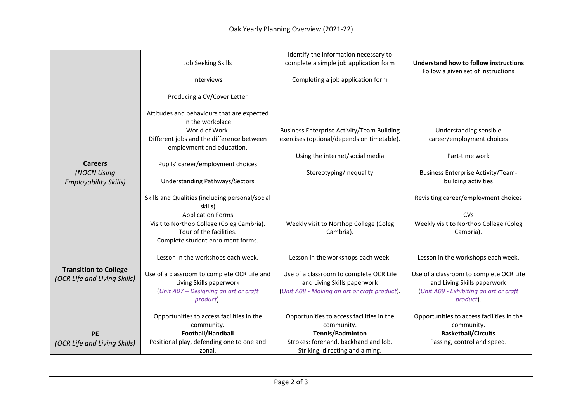|                              |                                                                      | Identify the information necessary to             |                                           |
|------------------------------|----------------------------------------------------------------------|---------------------------------------------------|-------------------------------------------|
|                              | Job Seeking Skills                                                   | complete a simple job application form            | Understand how to follow instructions     |
|                              |                                                                      |                                                   | Follow a given set of instructions        |
|                              | <b>Interviews</b>                                                    | Completing a job application form                 |                                           |
|                              |                                                                      |                                                   |                                           |
|                              | Producing a CV/Cover Letter                                          |                                                   |                                           |
|                              | Attitudes and behaviours that are expected                           |                                                   |                                           |
|                              | in the workplace                                                     |                                                   |                                           |
|                              | World of Work.                                                       | <b>Business Enterprise Activity/Team Building</b> | Understanding sensible                    |
|                              | Different jobs and the difference between                            | exercises (optional/depends on timetable).        | career/employment choices                 |
|                              | employment and education.                                            |                                                   |                                           |
|                              |                                                                      | Using the internet/social media                   | Part-time work                            |
| <b>Careers</b>               | Pupils' career/employment choices                                    |                                                   |                                           |
| (NOCN Using                  |                                                                      | Stereotyping/Inequality                           | <b>Business Enterprise Activity/Team-</b> |
| <b>Employability Skills)</b> | <b>Understanding Pathways/Sectors</b>                                |                                                   | building activities                       |
|                              |                                                                      |                                                   |                                           |
|                              | Skills and Qualities (including personal/social                      |                                                   | Revisiting career/employment choices      |
|                              | skills)                                                              |                                                   |                                           |
|                              | <b>Application Forms</b>                                             |                                                   | <b>CVs</b>                                |
|                              | Visit to Northop College (Coleg Cambria).<br>Tour of the facilities. | Weekly visit to Northop College (Coleg            | Weekly visit to Northop College (Coleg    |
|                              |                                                                      | Cambria).                                         | Cambria).                                 |
|                              | Complete student enrolment forms.                                    |                                                   |                                           |
|                              | Lesson in the workshops each week.                                   | Lesson in the workshops each week.                | Lesson in the workshops each week.        |
|                              |                                                                      |                                                   |                                           |
| <b>Transition to College</b> | Use of a classroom to complete OCR Life and                          | Use of a classroom to complete OCR Life           | Use of a classroom to complete OCR Life   |
| (OCR Life and Living Skills) | Living Skills paperwork                                              | and Living Skills paperwork                       | and Living Skills paperwork               |
|                              | Unit A07 - Designing an art or craft                                 | (Unit A08 - Making an art or craft product).      | Unit A09 - Exhibiting an art or craft     |
|                              | product).                                                            |                                                   | product).                                 |
|                              |                                                                      |                                                   |                                           |
|                              | Opportunities to access facilities in the                            | Opportunities to access facilities in the         | Opportunities to access facilities in the |
|                              | community.                                                           | community.                                        | community.                                |
| <b>PE</b>                    | Football/Handball                                                    | Tennis/Badminton                                  | <b>Basketball/Circuits</b>                |
| (OCR Life and Living Skills) | Positional play, defending one to one and                            | Strokes: forehand, backhand and lob.              | Passing, control and speed.               |
|                              | zonal.                                                               | Striking, directing and aiming.                   |                                           |